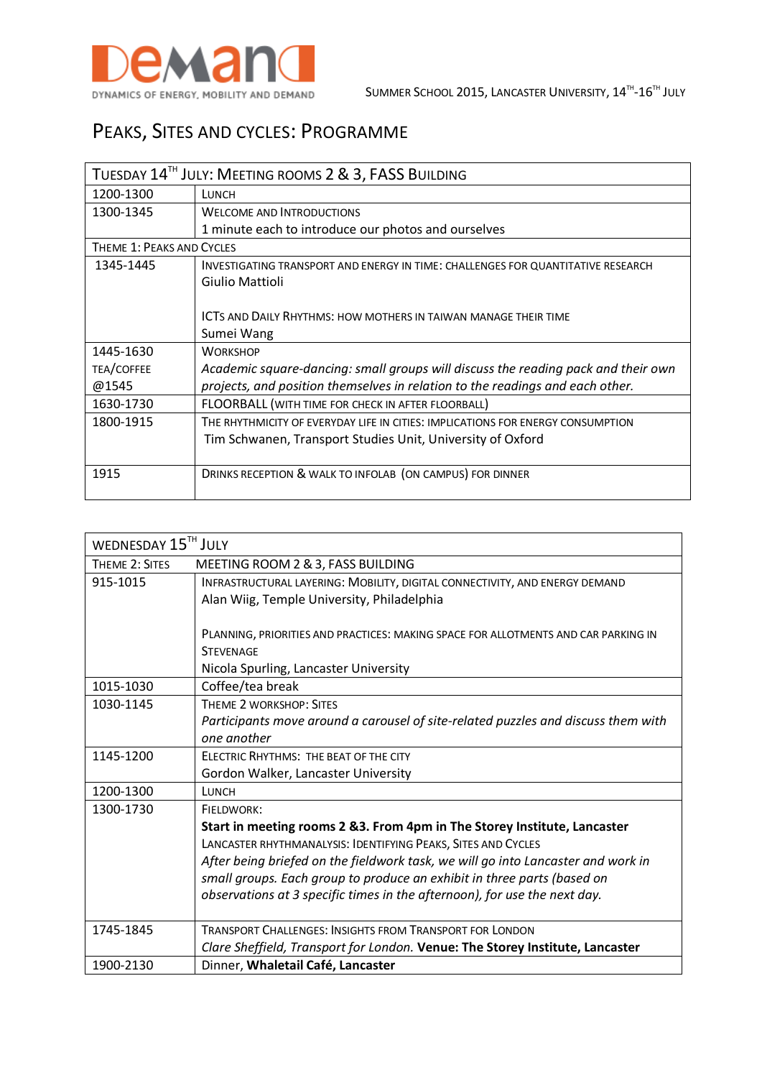

## PEAKS, SITES AND CYCLES: PROGRAMME

| TUESDAY 14 <sup>TH</sup> JULY: MEETING ROOMS 2 & 3, FASS BUILDING |                                                                                   |  |
|-------------------------------------------------------------------|-----------------------------------------------------------------------------------|--|
| 1200-1300                                                         | LUNCH                                                                             |  |
| 1300-1345                                                         | <b>WELCOME AND INTRODUCTIONS</b>                                                  |  |
|                                                                   | 1 minute each to introduce our photos and ourselves                               |  |
| THEME 1: PEAKS AND CYCLES                                         |                                                                                   |  |
| 1345-1445                                                         | INVESTIGATING TRANSPORT AND ENERGY IN TIME: CHALLENGES FOR QUANTITATIVE RESEARCH  |  |
|                                                                   | Giulio Mattioli                                                                   |  |
|                                                                   |                                                                                   |  |
|                                                                   | ICTS AND DAILY RHYTHMS: HOW MOTHERS IN TAIWAN MANAGE THEIR TIME                   |  |
|                                                                   | Sumei Wang                                                                        |  |
| 1445-1630                                                         | <b>WORKSHOP</b>                                                                   |  |
| TEA/COFFEE                                                        | Academic square-dancing: small groups will discuss the reading pack and their own |  |
| @1545                                                             | projects, and position themselves in relation to the readings and each other.     |  |
| 1630-1730                                                         | FLOORBALL (WITH TIME FOR CHECK IN AFTER FLOORBALL)                                |  |
| 1800-1915                                                         | THE RHYTHMICITY OF EVERYDAY LIFE IN CITIES: IMPLICATIONS FOR ENERGY CONSUMPTION   |  |
|                                                                   | Tim Schwanen, Transport Studies Unit, University of Oxford                        |  |
|                                                                   |                                                                                   |  |
| 1915                                                              | DRINKS RECEPTION & WALK TO INFOLAB (ON CAMPUS) FOR DINNER                         |  |
|                                                                   |                                                                                   |  |

| WEDNESDAY 15TH JULY |                                                                                    |  |
|---------------------|------------------------------------------------------------------------------------|--|
| THEME 2: SITES      | MEETING ROOM 2 & 3, FASS BUILDING                                                  |  |
| 915-1015            | INFRASTRUCTURAL LAYERING: MOBILITY, DIGITAL CONNECTIVITY, AND ENERGY DEMAND        |  |
|                     | Alan Wiig, Temple University, Philadelphia                                         |  |
|                     |                                                                                    |  |
|                     | PLANNING, PRIORITIES AND PRACTICES: MAKING SPACE FOR ALLOTMENTS AND CAR PARKING IN |  |
|                     | <b>STEVENAGE</b>                                                                   |  |
|                     | Nicola Spurling, Lancaster University                                              |  |
| 1015-1030           | Coffee/tea break                                                                   |  |
| 1030-1145           | THEME 2 WORKSHOP: SITES                                                            |  |
|                     | Participants move around a carousel of site-related puzzles and discuss them with  |  |
|                     | one another                                                                        |  |
| 1145-1200           | FLECTRIC RHYTHMS: THE BEAT OF THE CITY                                             |  |
|                     | Gordon Walker, Lancaster University                                                |  |
| 1200-1300           | LUNCH                                                                              |  |
| 1300-1730           | FIELDWORK:                                                                         |  |
|                     | Start in meeting rooms 2 & 3. From 4pm in The Storey Institute, Lancaster          |  |
|                     | LANCASTER RHYTHMANALYSIS: IDENTIFYING PEAKS, SITES AND CYCLES                      |  |
|                     | After being briefed on the fieldwork task, we will go into Lancaster and work in   |  |
|                     | small groups. Each group to produce an exhibit in three parts (based on            |  |
|                     | observations at 3 specific times in the afternoon), for use the next day.          |  |
|                     |                                                                                    |  |
| 1745-1845           | <b>TRANSPORT CHALLENGES: INSIGHTS FROM TRANSPORT FOR LONDON</b>                    |  |
|                     | Clare Sheffield, Transport for London. Venue: The Storey Institute, Lancaster      |  |
| 1900-2130           | Dinner, Whaletail Café, Lancaster                                                  |  |